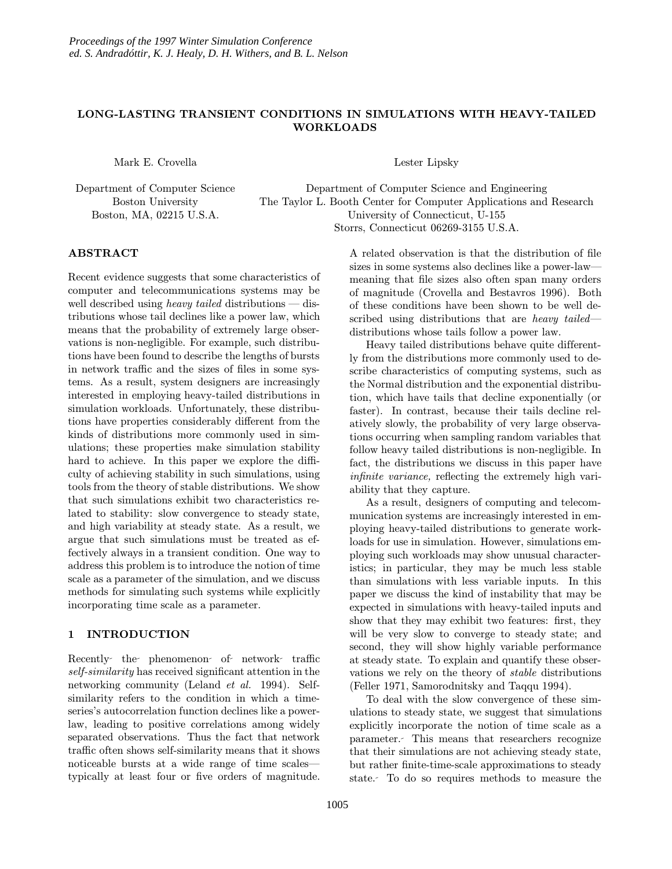# LONG-LASTING TRANSIENT CONDITIONS IN SIMULATIONS WITH HEAVY-TAILED WORKLOADS

Mark E. Crovella

Department of Computer Science Boston University Boston, MA, 02215 U.S.A.

Lester Lipsky

Department of Computer Science and Engineering The Taylor L. Booth Center for Computer Applications and Research University of Connecticut, U-155 Storrs, Connecticut 06269-3155 U.S.A.

# ABSTRACT

Recent evidence suggests that some characteristics of computer and telecommunications systems may be well described using *heavy tailed* distributions  $-\text{dis-}$ tributions whose tail declines like a power law, which means that the probability of extremely large observations is non-negligible. For example, such distributions have been found to describe the lengths of bursts in network traffic and the sizes of files in some systems. As a result, system designers are increasingly interested in employing heavy-tailed distributions in simulation workloads. Unfortunately, these distributions have properties considerably different from the kinds of distributions more commonly used in simulations; these properties make simulation stability hard to achieve. In this paper we explore the difficulty of achieving stability in such simulations, using tools from the theory of stable distributions. We show that such simulations exhibit two characteristics related to stability: slow convergence to steady state, and high variability at steady state. As a result, we argue that such simulations must be treated as effectively always in a transient condition. One way to address this problem is to introduce the notion of time scale as a parameter of the simulation, and we discuss methods for simulating such systems while explicitly incorporating time scale as a parameter.

# 1 INTRODUCTION

Recently the phenomenon of network traffic self-similarity has received significant attention in the networking community (Leland et al. 1994). Selfsimilarity refers to the condition in which a timeseries's autocorrelation function declines like a powerlaw, leading to positive correlations among widely separated observations. Thus the fact that network traffic often shows self-similarity means that it shows noticeable bursts at a wide range of time scales typically at least four or five orders of magnitude. A related observation is that the distribution of file sizes in some systems also declines like a power-law meaning that file sizes also often span many orders of magnitude (Crovella and Bestavros 1996). Both of these conditions have been shown to be well described using distributions that are *heavy tailed* distributions whose tails follow a power law.

Heavy tailed distributions behave quite differently from the distributions more commonly used to describe characteristics of computing systems, such as the Normal distribution and the exponential distribution, which have tails that decline exponentially (or faster). In contrast, because their tails decline relatively slowly, the probability of very large observations occurring when sampling random variables that follow heavy tailed distributions is non-negligible. In fact, the distributions we discuss in this paper have infinite variance, reflecting the extremely high variability that they capture.

As a result, designers of computing and telecommunication systems are increasingly interested in employing heavy-tailed distributions to generate workloads for use in simulation. However, simulations employing such workloads may show unusual characteristics; in particular, they may be much less stable than simulations with less variable inputs. In this paper we discuss the kind of instability that may be expected in simulations with heavy-tailed inputs and show that they may exhibit two features: first, they will be very slow to converge to steady state; and second, they will show highly variable performance at steady state. To explain and quantify these observations we rely on the theory of stable distributions (Feller 1971, Samorodnitsky and Taqqu 1994).

To deal with the slow convergence of these simulations to steady state, we suggest that simulations explicitly incorporate the notion of time scale as a parameter. This means that researchers recognize that their simulations are not achieving steady state, but rather finite-time-scale approximations to steady state. To do so requires methods to measure the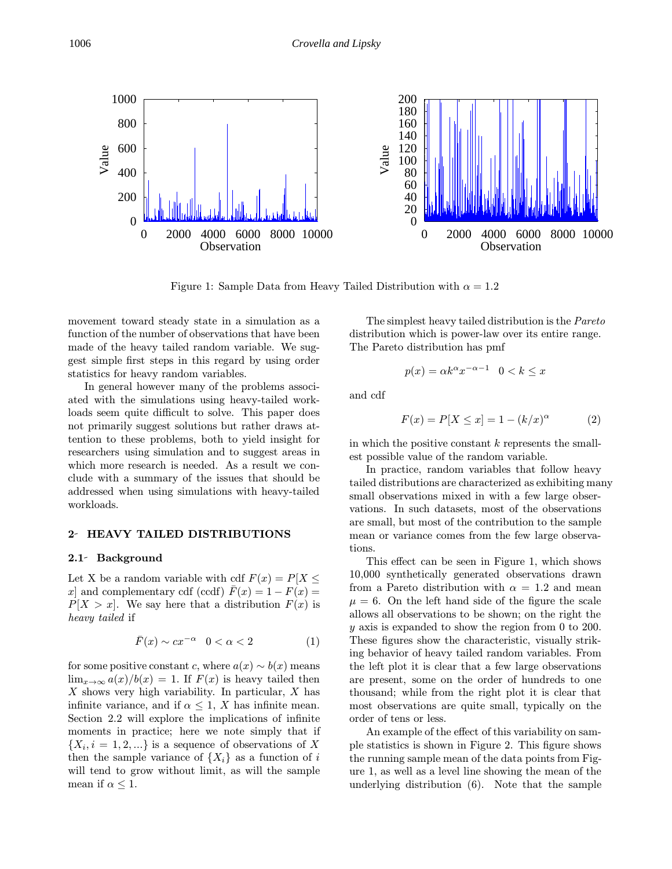

Figure 1: Sample Data from Heavy Tailed Distribution with  $\alpha = 1.2$ 

movement toward steady state in a simulation as a function of the number of observations that have been made of the heavy tailed random variable. We suggest simple first steps in this regard by using order statistics for heavy random variables.

In general however many of the problems associated with the simulations using heavy-tailed workloads seem quite difficult to solve. This paper does not primarily suggest solutions but rather draws attention to these problems, both to yield insight for researchers using simulation and to suggest areas in which more research is needed. As a result we conclude with a summary of the issues that should be addressed when using simulations with heavy-tailed workloads.

## 2 HEAVY TAILED DISTRIBUTIONS

#### 2.1 Background

Let X be a random variable with cdf  $F(x) = P[X \leq$ x] and complementary cdf (ccdf)  $\bar{F}(x) = 1 - F(x) =$  $P[X > x]$ . We say here that a distribution  $F(x)$  is heavy tailed if

$$
\bar{F}(x) \sim cx^{-\alpha} \quad 0 < \alpha < 2 \tag{1}
$$

for some positive constant c, where  $a(x) \sim b(x)$  means  $\lim_{x\to\infty}a(x)/b(x)=1$ . If  $F(x)$  is heavy tailed then X shows very high variability. In particular, X has infinite variance, and if  $\alpha \leq 1$ , X has infinite mean. Section 2.2 will explore the implications of infinite moments in practice; here we note simply that if  ${X_i, i = 1, 2, \ldots}$  is a sequence of observations of X then the sample variance of  $\{X_i\}$  as a function of i will tend to grow without limit, as will the sample mean if  $\alpha \leq 1$ .

The simplest heavy tailed distribution is the Pareto distribution which is power-law over its entire range. The Pareto distribution has pmf

$$
p(x) = \alpha k^{\alpha} x^{-\alpha - 1} \quad 0 < k \le x
$$

and cdf

$$
F(x) = P[X \le x] = 1 - (k/x)^{\alpha} \tag{2}
$$

in which the positive constant  $k$  represents the smallest possible value of the random variable.

In practice, random variables that follow heavy tailed distributions are characterized as exhibiting many small observations mixed in with a few large observations. In such datasets, most of the observations are small, but most of the contribution to the sample mean or variance comes from the few large observations.

This effect can be seen in Figure 1, which shows 10,000 synthetically generated observations drawn from a Pareto distribution with  $\alpha = 1.2$  and mean  $\mu = 6$ . On the left hand side of the figure the scale allows all observations to be shown; on the right the y axis is expanded to show the region from 0 to 200. These figures show the characteristic, visually striking behavior of heavy tailed random variables. From the left plot it is clear that a few large observations are present, some on the order of hundreds to one thousand; while from the right plot it is clear that most observations are quite small, typically on the order of tens or less.

An example of the effect of this variability on sample statistics is shown in Figure 2. This figure shows the running sample mean of the data points from Figure 1, as well as a level line showing the mean of the underlying distribution (6). Note that the sample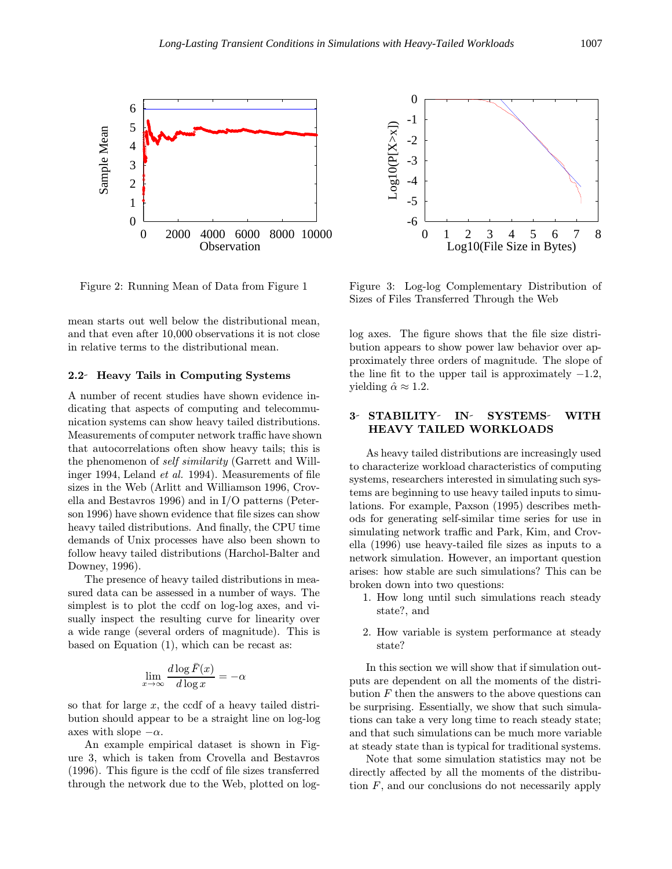

Figure 2: Running Mean of Data from Figure 1

mean starts out well below the distributional mean, and that even after 10,000 observations it is not close in relative terms to the distributional mean.

#### 2.2 Heavy Tails in Computing Systems

A number of recent studies have shown evidence indicating that aspects of computing and telecommunication systems can show heavy tailed distributions. Measurements of computer network traffic have shown that autocorrelations often show heavy tails; this is the phenomenon of self similarity (Garrett and Willinger 1994, Leland et al. 1994). Measurements of file sizes in the Web (Arlitt and Williamson 1996, Crovella and Bestavros 1996) and in I/O patterns (Peterson 1996) have shown evidence that file sizes can show heavy tailed distributions. And finally, the CPU time demands of Unix processes have also been shown to follow heavy tailed distributions (Harchol-Balter and Downey, 1996).

The presence of heavy tailed distributions in measured data can be assessed in a number of ways. The simplest is to plot the ccdf on log-log axes, and visually inspect the resulting curve for linearity over a wide range (several orders of magnitude). This is based on Equation (1), which can be recast as:

$$
\lim_{x \to \infty} \frac{d \log \bar{F}(x)}{d \log x} = -\alpha
$$

so that for large  $x$ , the ccdf of a heavy tailed distribution should appear to be a straight line on log-log axes with slope  $-\alpha$ .

An example empirical dataset is shown in Figure 3, which is taken from Crovella and Bestavros (1996). This figure is the ccdf of file sizes transferred through the network due to the Web, plotted on log-



Figure 3: Log-log Complementary Distribution of Sizes of Files Transferred Through the Web

log axes. The figure shows that the file size distribution appears to show power law behavior over approximately three orders of magnitude. The slope of the line fit to the upper tail is approximately  $-1.2$ , yielding  $\hat{\alpha} \approx 1.2$ .

# 3- STABILITY- IN- SYSTEMS- WITH HEAVY TAILED WORKLOADS

As heavy tailed distributions are increasingly used to characterize workload characteristics of computing systems, researchers interested in simulating such systems are beginning to use heavy tailed inputs to simulations. For example, Paxson (1995) describes methods for generating self-similar time series for use in simulating network traffic and Park, Kim, and Crovella (1996) use heavy-tailed file sizes as inputs to a network simulation. However, an important question arises: how stable are such simulations? This can be broken down into two questions:

- 1. How long until such simulations reach steady state?, and
- 2. How variable is system performance at steady state?

In this section we will show that if simulation outputs are dependent on all the moments of the distribution  $F$  then the answers to the above questions can be surprising. Essentially, we show that such simulations can take a very long time to reach steady state; and that such simulations can be much more variable at steady state than is typical for traditional systems.

Note that some simulation statistics may not be directly affected by all the moments of the distribution  $F$ , and our conclusions do not necessarily apply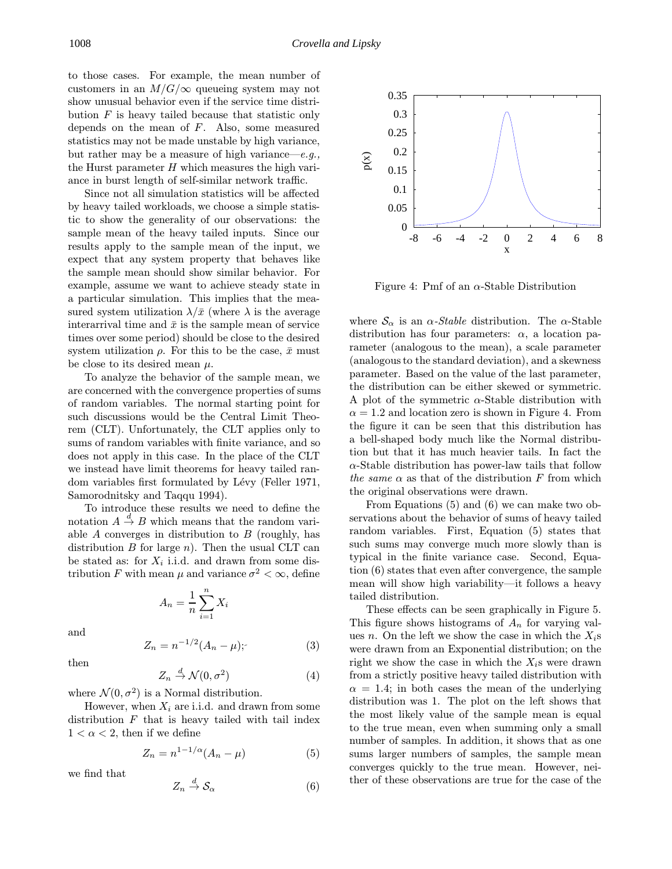to those cases. For example, the mean number of customers in an  $M/G/\infty$  queueing system may not show unusual behavior even if the service time distribution  $F$  is heavy tailed because that statistic only depends on the mean of  $F$ . Also, some measured statistics may not be made unstable by high variance, but rather may be a measure of high variance—e.g., the Hurst parameter  $H$  which measures the high variance in burst length of self-similar network traffic.

Since not all simulation statistics will be affected by heavy tailed workloads, we choose a simple statistic to show the generality of our observations: the sample mean of the heavy tailed inputs. Since our results apply to the sample mean of the input, we expect that any system property that behaves like the sample mean should show similar behavior. For example, assume we want to achieve steady state in a particular simulation. This implies that the measured system utilization  $\lambda/\bar{x}$  (where  $\lambda$  is the average interarrival time and  $\bar{x}$  is the sample mean of service times over some period) should be close to the desired system utilization  $\rho$ . For this to be the case,  $\bar{x}$  must be close to its desired mean  $\mu$ .

To analyze the behavior of the sample mean, we are concerned with the convergence properties of sums of random variables. The normal starting point for such discussions would be the Central Limit Theorem (CLT). Unfortunately, the CLT applies only to sums of random variables with finite variance, and so does not apply in this case. In the place of the CLT we instead have limit theorems for heavy tailed random variables first formulated by Lévy (Feller 1971, Samorodnitsky and Taqqu 1994).

To introduce these results we need to define the notation  $A \stackrel{d}{\rightarrow} B$  which means that the random variable A converges in distribution to  $B$  (roughly, has distribution  $B$  for large  $n$ ). Then the usual CLT can be stated as: for  $X_i$  i.i.d. and drawn from some distribution F with mean  $\mu$  and variance  $\sigma^2 < \infty$ , define

$$
A_n = \frac{1}{n} \sum_{i=1}^n X_i
$$

and

then

$$
Z_n = n^{-1/2} (A_n - \mu); \tag{3}
$$

$$
Z_n \stackrel{d}{\to} \mathcal{N}(0, \sigma^2) \tag{4}
$$

where  $\mathcal{N}(0, \sigma^2)$  is a Normal distribution.

However, when  $X_i$  are i.i.d. and drawn from some distribution  $F$  that is heavy tailed with tail index  $1 < \alpha < 2$ , then if we define

$$
Z_n = n^{1-1/\alpha} (A_n - \mu) \tag{5}
$$

we find that

$$
Z_n \stackrel{d}{\to} \mathcal{S}_\alpha \tag{6}
$$



Figure 4: Pmf of an  $\alpha$ -Stable Distribution

where  $\mathcal{S}_{\alpha}$  is an  $\alpha$ -*Stable* distribution. The  $\alpha$ -Stable distribution has four parameters:  $\alpha$ , a location parameter (analogous to the mean), a scale parameter (analogousto the standard deviation), and a skewness parameter. Based on the value of the last parameter, the distribution can be either skewed or symmetric. A plot of the symmetric  $\alpha$ -Stable distribution with  $\alpha = 1.2$  and location zero is shown in Figure 4. From the figure it can be seen that this distribution has a bell-shaped body much like the Normal distribution but that it has much heavier tails. In fact the  $\alpha$ -Stable distribution has power-law tails that follow the same  $\alpha$  as that of the distribution F from which the original observations were drawn.

From Equations (5) and (6) we can make two observations about the behavior of sums of heavy tailed random variables. First, Equation (5) states that such sums may converge much more slowly than is typical in the finite variance case. Second, Equation (6) states that even after convergence, the sample mean will show high variability—it follows a heavy tailed distribution.

These effects can be seen graphically in Figure 5. This figure shows histograms of  $A_n$  for varying values n. On the left we show the case in which the  $X_i$ s were drawn from an Exponential distribution; on the right we show the case in which the  $X_i$ s were drawn from a strictly positive heavy tailed distribution with  $\alpha = 1.4$ ; in both cases the mean of the underlying distribution was 1. The plot on the left shows that the most likely value of the sample mean is equal to the true mean, even when summing only a small number of samples. In addition, it shows that as one sums larger numbers of samples, the sample mean converges quickly to the true mean. However, neither of these observations are true for the case of the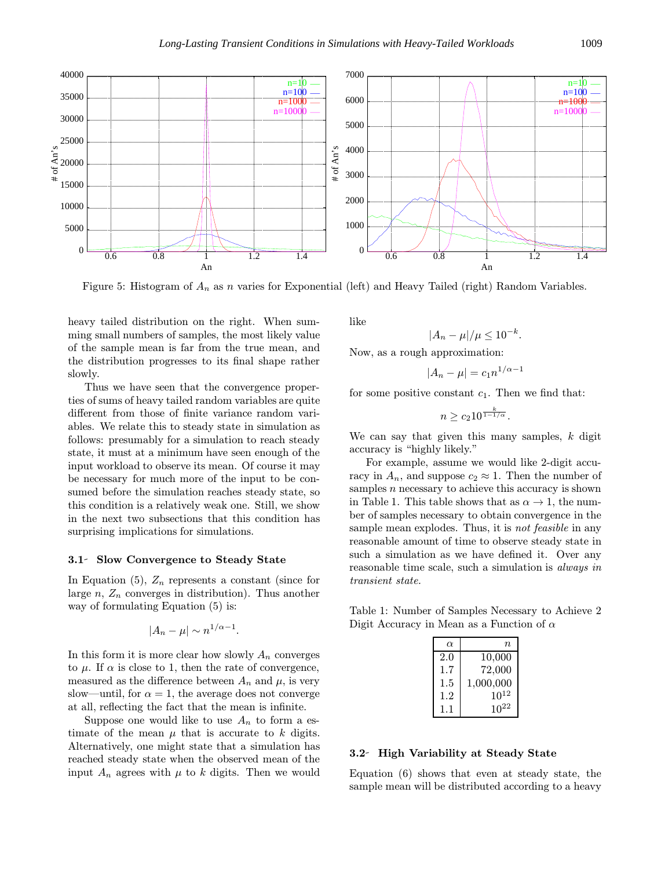

Figure 5: Histogram of  $A_n$  as n varies for Exponential (left) and Heavy Tailed (right) Random Variables.

heavy tailed distribution on the right. When summing small numbers of samples, the most likely value of the sample mean is far from the true mean, and the distribution progresses to its final shape rather slowly.

Thus we have seen that the convergence properties of sums of heavy tailed random variables are quite different from those of finite variance random variables. We relate this to steady state in simulation as follows: presumably for a simulation to reach steady state, it must at a minimum have seen enough of the input workload to observe its mean. Of course it may be necessary for much more of the input to be consumed before the simulation reaches steady state, so this condition is a relatively weak one. Still, we show in the next two subsections that this condition has surprising implications for simulations.

#### 3.1 Slow Convergence to Steady State

In Equation (5),  $Z_n$  represents a constant (since for large  $n, Z_n$  converges in distribution). Thus another way of formulating Equation (5) is:

$$
|A_n - \mu| \sim n^{1/\alpha - 1}.
$$

In this form it is more clear how slowly  $A_n$  converges to  $\mu$ . If  $\alpha$  is close to 1, then the rate of convergence, measured as the difference between  $A_n$  and  $\mu$ , is very slow—until, for  $\alpha = 1$ , the average does not converge at all, reflecting the fact that the mean is infinite.

Suppose one would like to use  $A_n$  to form a estimate of the mean  $\mu$  that is accurate to k digits. Alternatively, one might state that a simulation has reached steady state when the observed mean of the input  $A_n$  agrees with  $\mu$  to k digits. Then we would like

$$
|A_n-\mu|/\mu\leq 10^{-k}.
$$

Now, as a rough approximation:

$$
|A_n - \mu| = c_1 n^{1/\alpha - 1}
$$

for some positive constant  $c_1$ . Then we find that:

$$
n \geq c_2 10^{\frac{k}{1-1/\alpha}}.
$$

We can say that given this many samples,  $k$  digit accuracy is "highly likely."

For example, assume we would like 2-digit accuracy in  $A_n$ , and suppose  $c_2 \approx 1$ . Then the number of samples  $n$  necessary to achieve this accuracy is shown in Table 1. This table shows that as  $\alpha \to 1$ , the number of samples necessary to obtain convergence in the sample mean explodes. Thus, it is *not feasible* in any reasonable amount of time to observe steady state in such a simulation as we have defined it. Over any reasonable time scale, such a simulation is always in transient state.

Table 1: Number of Samples Necessary to Achieve 2 Digit Accuracy in Mean as a Function of  $\alpha$ 

| $\alpha$ | n,        |
|----------|-----------|
| 2.0      | 10,000    |
| $1.7\,$  | 72,000    |
| $1.5\,$  | 1,000,000 |
| 1.2      | $10^{12}$ |
| 11       | $10^{22}$ |

## 3.2 High Variability at Steady State

Equation (6) shows that even at steady state, the sample mean will be distributed according to a heavy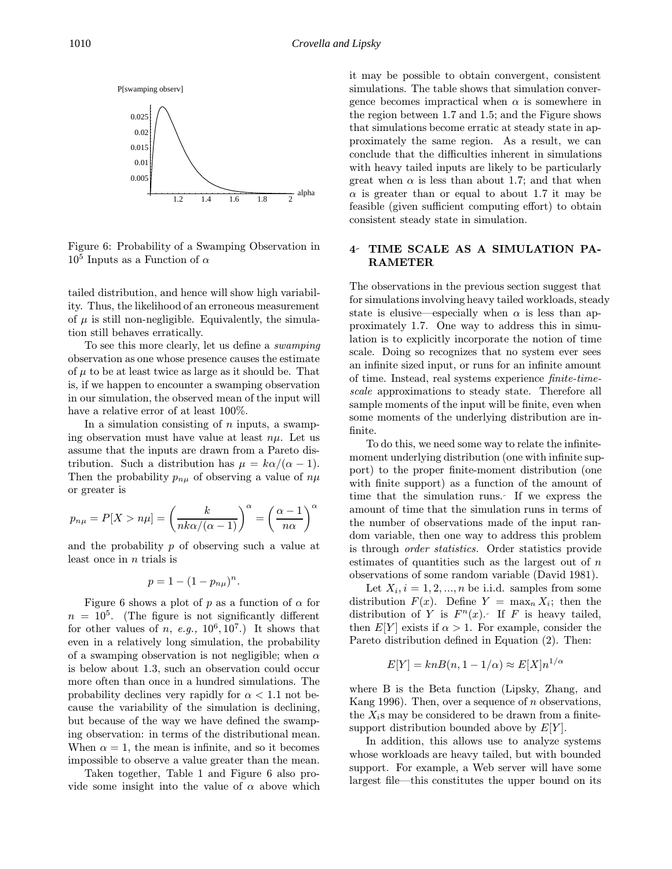

Figure 6: Probability of a Swamping Observation in  $10<sup>5</sup>$  Inputs as a Function of  $\alpha$ 

tailed distribution, and hence will show high variability. Thus, the likelihood of an erroneous measurement of  $\mu$  is still non-negligible. Equivalently, the simulation still behaves erratically.

To see this more clearly, let us define a swamping observation as one whose presence causes the estimate of  $\mu$  to be at least twice as large as it should be. That is, if we happen to encounter a swamping observation in our simulation, the observed mean of the input will have a relative error of at least  $100\%$ .

In a simulation consisting of  $n$  inputs, a swamping observation must have value at least  $n\mu$ . Let us assume that the inputs are drawn from a Pareto distribution. Such a distribution has  $\mu = k\alpha/(\alpha - 1)$ . Then the probability  $p_{n\mu}$  of observing a value of  $n\mu$ or greater is

$$
p_{n\mu} = P[X > n\mu] = \left(\frac{k}{nk\alpha/(\alpha - 1)}\right)^{\alpha} = \left(\frac{\alpha - 1}{n\alpha}\right)^{\alpha}
$$

and the probability p of observing such a value at least once in  $n$  trials is

$$
p=1-(1-p_{n\mu})^n.
$$

Figure 6 shows a plot of p as a function of  $\alpha$  for  $n = 10<sup>5</sup>$ . (The figure is not significantly different for other values of n, e.g.,  $10^6, 10^7$ .) It shows that even in a relatively long simulation, the probability of a swamping observation is not negligible; when  $\alpha$ is below about 1.3, such an observation could occur more often than once in a hundred simulations. The probability declines very rapidly for  $\alpha < 1.1$  not because the variability of the simulation is declining, but because of the way we have defined the swamping observation: in terms of the distributional mean. When  $\alpha = 1$ , the mean is infinite, and so it becomes impossible to observe a value greater than the mean.

Taken together, Table 1 and Figure 6 also provide some insight into the value of  $\alpha$  above which it may be possible to obtain convergent, consistent simulations. The table shows that simulation convergence becomes impractical when  $\alpha$  is somewhere in the region between 1.7 and 1.5; and the Figure shows that simulations become erratic at steady state in approximately the same region. As a result, we can conclude that the difficulties inherent in simulations with heavy tailed inputs are likely to be particularly great when  $\alpha$  is less than about 1.7; and that when  $\alpha$  is greater than or equal to about 1.7 it may be feasible (given sufficient computing effort) to obtain consistent steady state in simulation.

# 4 TIME SCALE AS A SIMULATION PA-RAMETER

The observations in the previous section suggest that for simulationsinvolving heavy tailed workloads, steady state is elusive—especially when  $\alpha$  is less than approximately 1.7. One way to address this in simulation is to explicitly incorporate the notion of time scale. Doing so recognizes that no system ever sees an infinite sized input, or runs for an infinite amount of time. Instead, real systems experience finite-timescale approximations to steady state. Therefore all sample moments of the input will be finite, even when some moments of the underlying distribution are infinite.

To do this, we need some way to relate the infinitemoment underlying distribution (one with infinite support) to the proper finite-moment distribution (one with finite support) as a function of the amount of time that the simulation runs. If we express the amount of time that the simulation runs in terms of the number of observations made of the input random variable, then one way to address this problem is through order statistics. Order statistics provide estimates of quantities such as the largest out of  $n$ observations of some random variable (David 1981).

Let  $X_i$ ,  $i = 1, 2, ..., n$  be i.i.d. samples from some distribution  $F(x)$ . Define  $Y = \max_n X_i$ ; then the distribution of Y is  $F<sup>n</sup>(x)$ . If F is heavy tailed, then  $E[Y]$  exists if  $\alpha > 1$ . For example, consider the Pareto distribution defined in Equation (2). Then:

$$
E[Y] = knB(n, 1 - 1/\alpha) \approx E[X]n^{1/\alpha}
$$

where B is the Beta function (Lipsky, Zhang, and Kang 1996). Then, over a sequence of  $n$  observations, the  $X_i$ s may be considered to be drawn from a finitesupport distribution bounded above by  $E[Y]$ .

In addition, this allows use to analyze systems whose workloads are heavy tailed, but with bounded support. For example, a Web server will have some largest file—this constitutes the upper bound on its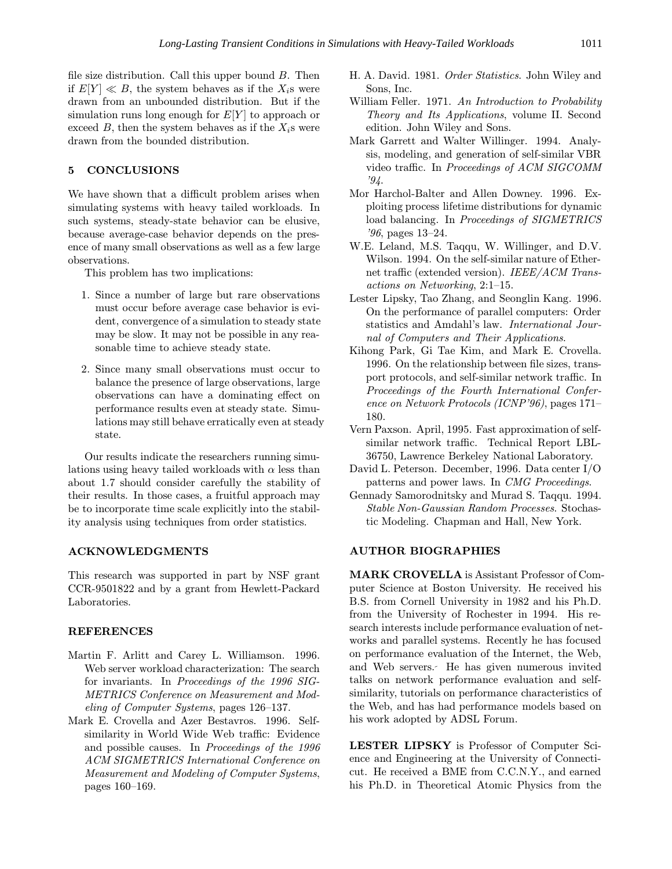file size distribution. Call this upper bound  $B$ . Then if  $E[Y] \ll B$ , the system behaves as if the  $X_i$ s were drawn from an unbounded distribution. But if the simulation runs long enough for  $E[Y]$  to approach or exceed  $B$ , then the system behaves as if the  $X_i$ s were drawn from the bounded distribution.

### 5 CONCLUSIONS

We have shown that a difficult problem arises when simulating systems with heavy tailed workloads. In such systems, steady-state behavior can be elusive, because average-case behavior depends on the presence of many small observations as well as a few large observations.

This problem has two implications:

- 1. Since a number of large but rare observations must occur before average case behavior is evident, convergence of a simulation to steady state may be slow. It may not be possible in any reasonable time to achieve steady state.
- 2. Since many small observations must occur to balance the presence of large observations, large observations can have a dominating effect on performance results even at steady state. Simulations may still behave erratically even at steady state.

Our results indicate the researchers running simulations using heavy tailed workloads with  $\alpha$  less than about 1.7 should consider carefully the stability of their results. In those cases, a fruitful approach may be to incorporate time scale explicitly into the stability analysis using techniques from order statistics.

### ACKNOWLEDGMENTS

This research was supported in part by NSF grant CCR-9501822 and by a grant from Hewlett-Packard Laboratories.

### REFERENCES

- Martin F. Arlitt and Carey L. Williamson. 1996. Web server workload characterization: The search for invariants. In Proceedings of the 1996 SIG-METRICS Conference on Measurement and Modeling of Computer Systems, pages 126–137.
- Mark E. Crovella and Azer Bestavros. 1996. Selfsimilarity in World Wide Web traffic: Evidence and possible causes. In Proceedings of the 1996 ACM SIGMETRICS International Conference on Measurement and Modeling of Computer Systems, pages 160–169.
- H. A. David. 1981. Order Statistics. John Wiley and Sons, Inc.
- William Feller. 1971. An Introduction to Probability Theory and Its Applications, volume II. Second edition. John Wiley and Sons.
- Mark Garrett and Walter Willinger. 1994. Analysis, modeling, and generation of self-similar VBR video traffic. In Proceedings of ACM SIGCOMM '94.
- Mor Harchol-Balter and Allen Downey. 1996. Exploiting process lifetime distributions for dynamic load balancing. In Proceedings of SIGMETRICS '96, pages 13–24.
- W.E. Leland, M.S. Taqqu, W. Willinger, and D.V. Wilson. 1994. On the self-similar nature of Ethernet traffic (extended version). IEEE/ACM Transactions on Networking, 2:1–15.
- Lester Lipsky, Tao Zhang, and Seonglin Kang. 1996. On the performance of parallel computers: Order statistics and Amdahl's law. International Journal of Computers and Their Applications.
- Kihong Park, Gi Tae Kim, and Mark E. Crovella. 1996. On the relationship between file sizes, transport protocols, and self-similar network traffic. In Proceedings of the Fourth International Conference on Network Protocols (ICNP'96), pages 171– 180.
- Vern Paxson. April, 1995. Fast approximation of selfsimilar network traffic. Technical Report LBL-36750, Lawrence Berkeley National Laboratory.
- David L. Peterson. December, 1996. Data center I/O patterns and power laws. In CMG Proceedings.
- Gennady Samorodnitsky and Murad S. Taqqu. 1994. Stable Non-Gaussian Random Processes. Stochastic Modeling. Chapman and Hall, New York.

### AUTHOR BIOGRAPHIES

MARK CROVELLA is Assistant Professor of Computer Science at Boston University. He received his B.S. from Cornell University in 1982 and his Ph.D. from the University of Rochester in 1994. His research interests include performance evaluation of networks and parallel systems. Recently he has focused on performance evaluation of the Internet, the Web, and Web servers. He has given numerous invited talks on network performance evaluation and selfsimilarity, tutorials on performance characteristics of the Web, and has had performance models based on his work adopted by ADSL Forum.

LESTER LIPSKY is Professor of Computer Science and Engineering at the University of Connecticut. He received a BME from C.C.N.Y., and earned his Ph.D. in Theoretical Atomic Physics from the